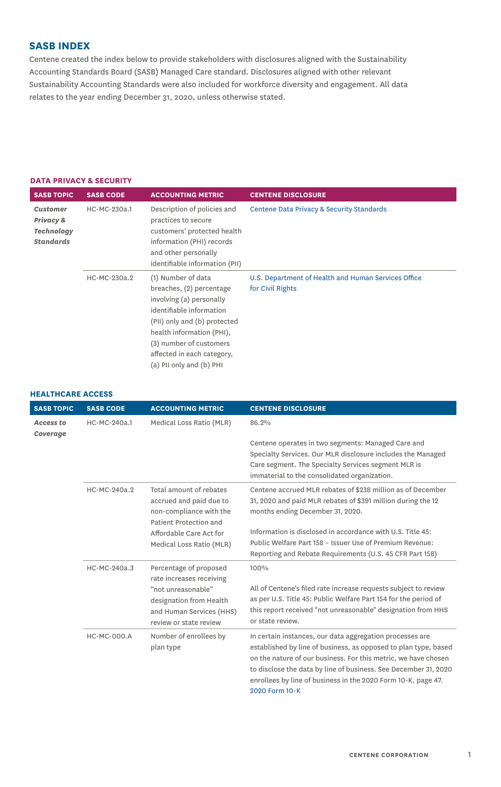# **SASB INDEX**

Centene created the index below to provide stakeholders with disclosures aligned with the Sustainability Accounting Standards Board (SASB) Managed Care standard. Disclosures aligned with other relevant Sustainability Accounting Standards were also included for workforce diversity and engagement. All data relates to the year ending December 31, 2020, unless otherwise stated.

#### **DATA PRIVACY & SECURITY**

| <b>SASB TOPIC</b>                                                     | <b>SASB CODE</b> | <b>ACCOUNTING METRIC</b>                                                                                                                                                                                                                                 | <b>CENTENE DISCLOSURE</b>                                               |
|-----------------------------------------------------------------------|------------------|----------------------------------------------------------------------------------------------------------------------------------------------------------------------------------------------------------------------------------------------------------|-------------------------------------------------------------------------|
| <b>Customer</b><br>Privacy &<br><b>Technology</b><br><b>Standards</b> | HC-MC-230a.1     | Description of policies and<br>practices to secure<br>customers' protected health<br>information (PHI) records<br>and other personally<br>identifiable information (PII)                                                                                 | Centene Data Privacy & Security Standards                               |
|                                                                       | HC-MC-230a.2     | (1) Number of data<br>breaches, (2) percentage<br>involving (a) personally<br>identifiable information<br>(PII) only and (b) protected<br>health information (PHI),<br>(3) number of customers<br>affected in each category,<br>(a) PII only and (b) PHI | U.S. Department of Health and Human Services Office<br>for Civil Rights |

| <b>HEALTHCARE ACCESS</b> |  |
|--------------------------|--|
|--------------------------|--|

| <b>SASB TOPIC</b>            | <b>SASB CODE</b>   | <b>ACCOUNTING METRIC</b>                                                                                | <b>CENTENE DISCLOSURE</b>                                                                                                                                                                                                                                                                                                                           |
|------------------------------|--------------------|---------------------------------------------------------------------------------------------------------|-----------------------------------------------------------------------------------------------------------------------------------------------------------------------------------------------------------------------------------------------------------------------------------------------------------------------------------------------------|
| <b>Access to</b><br>Coverage | HC-MC-240a.1       | Medical Loss Ratio (MLR)                                                                                | 86.2%                                                                                                                                                                                                                                                                                                                                               |
|                              |                    |                                                                                                         | Centene operates in two segments: Managed Care and<br>Specialty Services. Our MLR disclosure includes the Managed<br>Care segment. The Specialty Services segment MLR is<br>immaterial to the consolidated organization.                                                                                                                            |
|                              | HC-MC-240a.2       | Total amount of rebates<br>accrued and paid due to<br>non-compliance with the<br>Patient Protection and | Centene accrued MLR rebates of \$238 million as of December<br>31, 2020 and paid MLR rebates of \$391 million during the 12<br>months ending December 31, 2020.                                                                                                                                                                                     |
|                              |                    | Affordable Care Act for<br>Medical Loss Ratio (MLR)                                                     | Information is disclosed in accordance with U.S. Title 45:<br>Public Welfare Part 158 - Issuer Use of Premium Revenue:<br>Reporting and Rebate Requirements (U.S. 45 CFR Part 158)                                                                                                                                                                  |
|                              | HC-MC-240a.3       | Percentage of proposed<br>rate increases receiving                                                      | 100%                                                                                                                                                                                                                                                                                                                                                |
|                              |                    | "not unreasonable"<br>designation from Health<br>and Human Services (HHS)<br>review or state review     | All of Centene's filed rate increase requests subject to review<br>as per U.S. Title 45: Public Welfare Part 154 for the period of<br>this report received "not unreasonable" designation from HHS<br>or state review.                                                                                                                              |
|                              | <b>HC-MC-000.A</b> | Number of enrollees by<br>plan type                                                                     | In certain instances, our data aggregation processes are<br>established by line of business, as opposed to plan type, based<br>on the nature of our business. For this metric, we have chosen<br>to disclose the data by line of business. See December 31, 2020<br>enrollees by line of business in the 2020 Form 10-K, page 47.<br>2020 Form 10-K |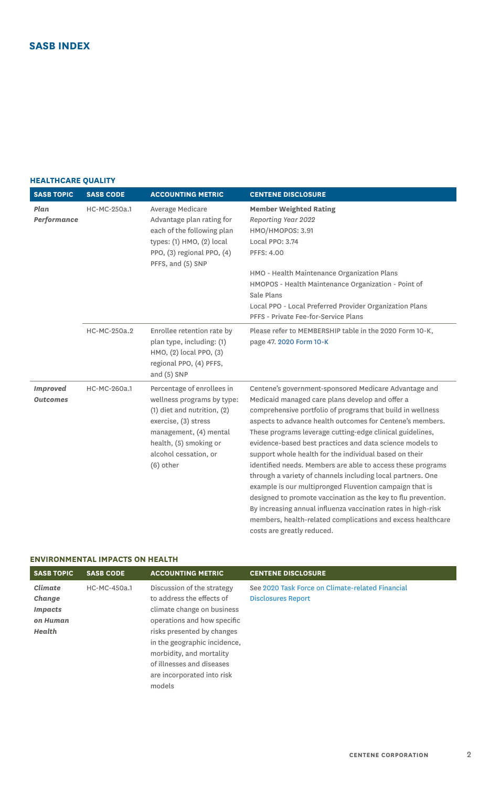## **HEALTHCARE QUALITY**

| <b>SASB TOPIC</b>                  | <b>SASB CODE</b> | <b>ACCOUNTING METRIC</b>                                                                                                                                                                                        | <b>CENTENE DISCLOSURE</b>                                                                                                                                                                                                                                                                                                                                                                                                                                                                                                                                                                                                                                                                                                                                                                                                                      |
|------------------------------------|------------------|-----------------------------------------------------------------------------------------------------------------------------------------------------------------------------------------------------------------|------------------------------------------------------------------------------------------------------------------------------------------------------------------------------------------------------------------------------------------------------------------------------------------------------------------------------------------------------------------------------------------------------------------------------------------------------------------------------------------------------------------------------------------------------------------------------------------------------------------------------------------------------------------------------------------------------------------------------------------------------------------------------------------------------------------------------------------------|
| Plan<br>Performance                | HC-MC-250a.1     | Average Medicare<br>Advantage plan rating for<br>each of the following plan<br>types: $(1)$ HMO, $(2)$ local<br>PPO, (3) regional PPO, (4)<br>PFFS, and (5) SNP                                                 | <b>Member Weighted Rating</b><br>Reporting Year 2022<br>HMO/HMOPOS: 3.91<br>Local PPO: 3.74<br>PFFS: 4.00<br>HMO - Health Maintenance Organization Plans<br>HMOPOS - Health Maintenance Organization - Point of<br>Sale Plans<br>Local PPO - Local Preferred Provider Organization Plans<br>PFFS - Private Fee-for-Service Plans                                                                                                                                                                                                                                                                                                                                                                                                                                                                                                               |
|                                    | HC-MC-250a.2     | Enrollee retention rate by<br>plan type, including: (1)<br>HMO, (2) local PPO, (3)<br>regional PPO, (4) PFFS,<br>and $(5)$ SNP                                                                                  | Please refer to MEMBERSHIP table in the 2020 Form 10-K,<br>page 47. 2020 Form 10-K                                                                                                                                                                                                                                                                                                                                                                                                                                                                                                                                                                                                                                                                                                                                                             |
| <b>Improved</b><br><b>Outcomes</b> | HC-MC-260a.1     | Percentage of enrollees in<br>wellness programs by type:<br>$(1)$ diet and nutrition, $(2)$<br>exercise, (3) stress<br>management, (4) mental<br>health, (5) smoking or<br>alcohol cessation, or<br>$(6)$ other | Centene's government-sponsored Medicare Advantage and<br>Medicaid managed care plans develop and offer a<br>comprehensive portfolio of programs that build in wellness<br>aspects to advance health outcomes for Centene's members.<br>These programs leverage cutting-edge clinical guidelines,<br>evidence-based best practices and data science models to<br>support whole health for the individual based on their<br>identified needs. Members are able to access these programs<br>through a variety of channels including local partners. One<br>example is our multipronged Fluvention campaign that is<br>designed to promote vaccination as the key to flu prevention.<br>By increasing annual influenza vaccination rates in high-risk<br>members, health-related complications and excess healthcare<br>costs are greatly reduced. |

## **ENVIRONMENTAL IMPACTS ON HEALTH**

| <b>SASB TOPIC</b> | <b>SASB CODE</b> | <b>ACCOUNTING METRIC</b>     | <b>CENTENE DISCLOSURE</b>                        |
|-------------------|------------------|------------------------------|--------------------------------------------------|
| Climate           | HC-MC-450a.1     | Discussion of the strategy   | See 2020 Task Force on Climate-related Financial |
| Change            |                  | to address the effects of    | <b>Disclosures Report</b>                        |
| <b>Impacts</b>    |                  | climate change on business   |                                                  |
| on Human          |                  | operations and how specific  |                                                  |
| Health            |                  | risks presented by changes   |                                                  |
|                   |                  | in the geographic incidence, |                                                  |
|                   |                  | morbidity, and mortality     |                                                  |
|                   |                  | of illnesses and diseases    |                                                  |
|                   |                  | are incorporated into risk   |                                                  |
|                   |                  | models                       |                                                  |